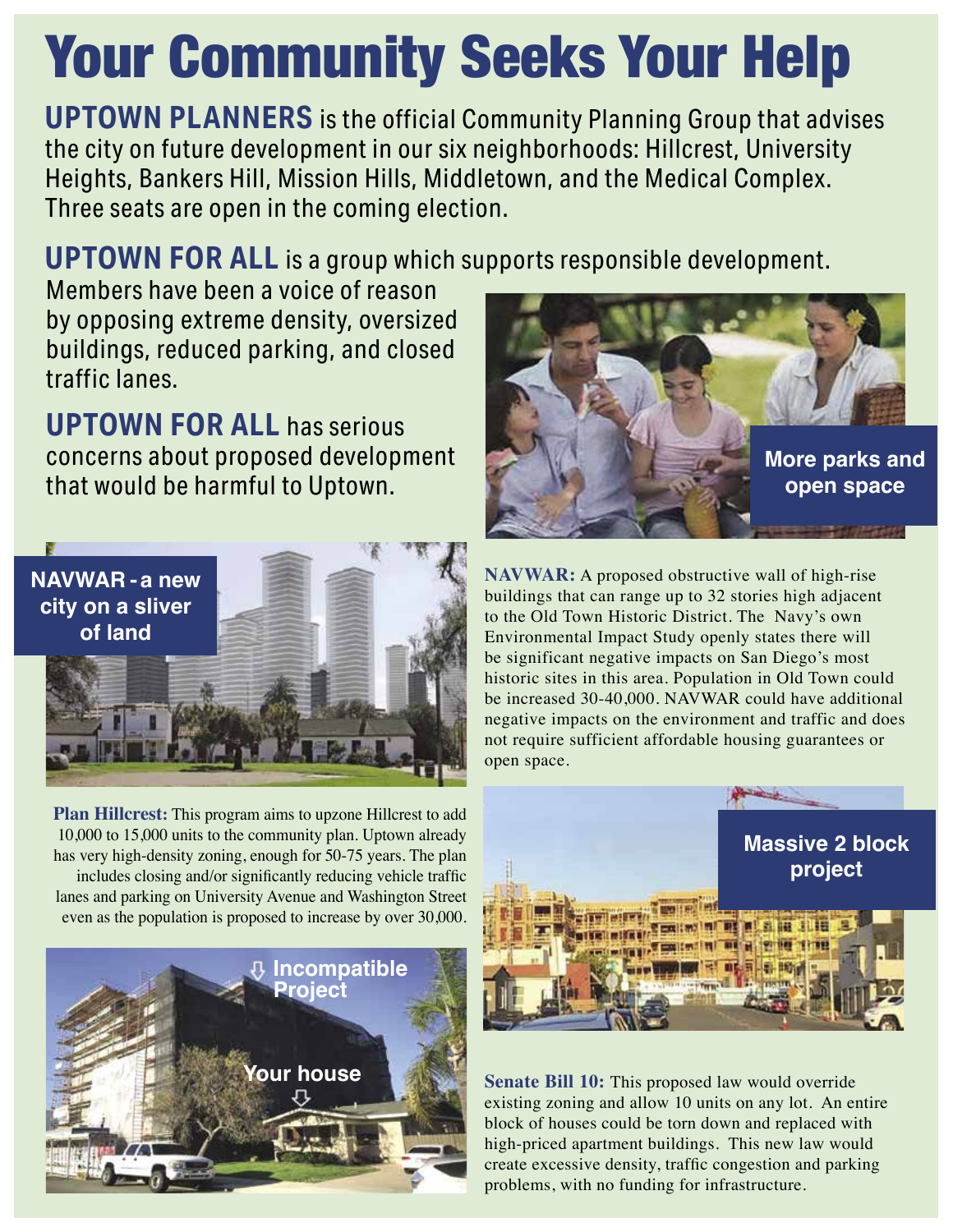# Your Community Seeks Your Help

**UPTOWN PLANNERS** is the official Community Planning Group that advises the city on future development in our six neighborhoods: Hillcrest, University Heights, Bankers Hill, Mission Hills, Middletown, and the Medical Complex. Three seats are open in the coming election.

**UPTOWN FOR ALL** is a group which supports responsible development.

Members have been a voice of reason by opposing extreme density, oversized buildings, reduced parking, and closed traffic lanes.

**UPTOWN FOR ALL** has serious concerns about proposed development that would be harmful to Uptown.



**Plan Hillcrest:** This program aims to upzone Hillcrest to add 10,000 to 15,000 units to the community plan. Uptown already has very high-density zoning, enough for 50-75 years. The plan includes closing and/or significantly reducing vehicle traffic lanes and parking on University Avenue and Washington Street even as the population is proposed to increase by over 30,000.





**NAVWAR:** A proposed obstructive wall of high-rise buildings that can range up to 32 stories high adjacent to the Old Town Historic District. The Navy's own Environmental Impact Study openly states there will be significant negative impacts on San Diego's most historic sites in this area. Population in Old Town could be increased 30-40,000. NAVWAR could have additional negative impacts on the environment and traffic and does not require sufficient affordable housing guarantees or open space.



**Senate Bill 10:** This proposed law would override existing zoning and allow 10 units on any lot. An entire block of houses could be torn down and replaced with high-priced apartment buildings. This new law would create excessive density, traffic congestion and parking problems, with no funding for infrastructure.